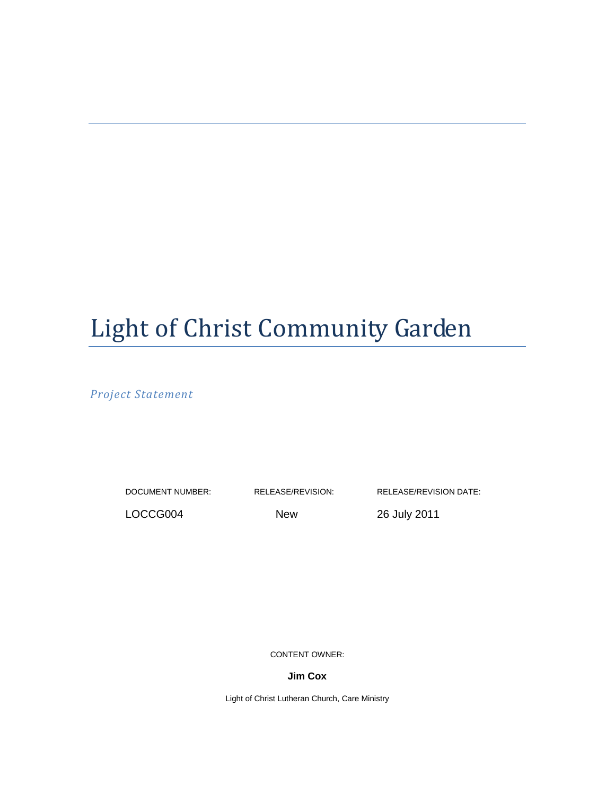# Light of Christ Community Garden

Project Statement

DOCUMENT NUMBER: RELEASE/REVISION: RELEASE/REVISION DATE:

LOCCG004 New 26 July 2011

CONTENT OWNER:

**Jim Cox** 

Light of Christ Lutheran Church, Care Ministry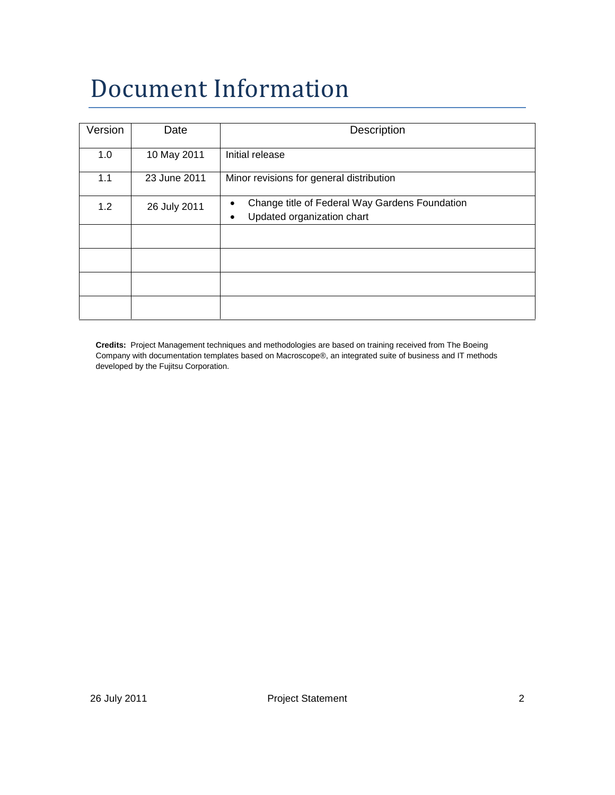# Document Information

| Version | Date         | Description                                                                            |
|---------|--------------|----------------------------------------------------------------------------------------|
| 1.0     | 10 May 2011  | Initial release                                                                        |
| 1.1     | 23 June 2011 | Minor revisions for general distribution                                               |
| 1.2     | 26 July 2011 | Change title of Federal Way Gardens Foundation<br>٠<br>Updated organization chart<br>٠ |
|         |              |                                                                                        |
|         |              |                                                                                        |
|         |              |                                                                                        |
|         |              |                                                                                        |

**Credits:** Project Management techniques and methodologies are based on training received from The Boeing Company with documentation templates based on Macroscope®, an integrated suite of business and IT methods developed by the Fujitsu Corporation.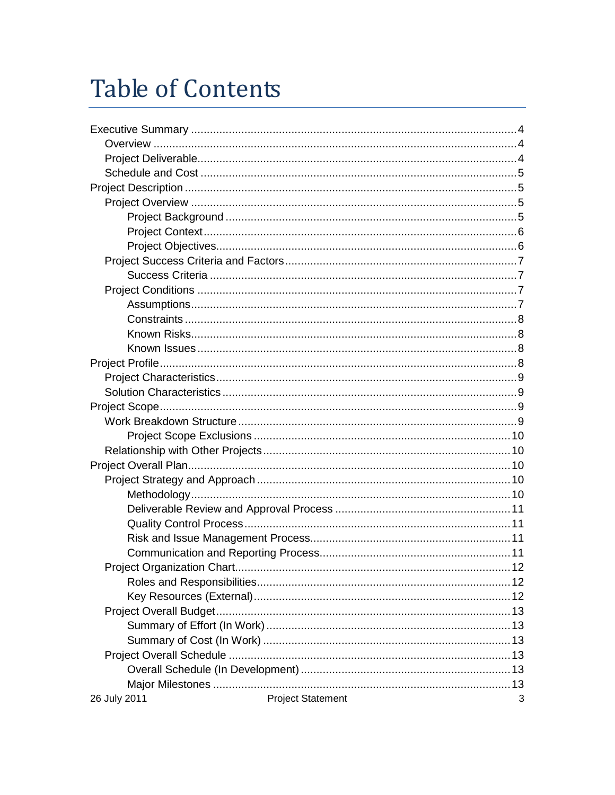# **Table of Contents**

| 26 July 2011 | <b>Project Statement</b><br>3 |
|--------------|-------------------------------|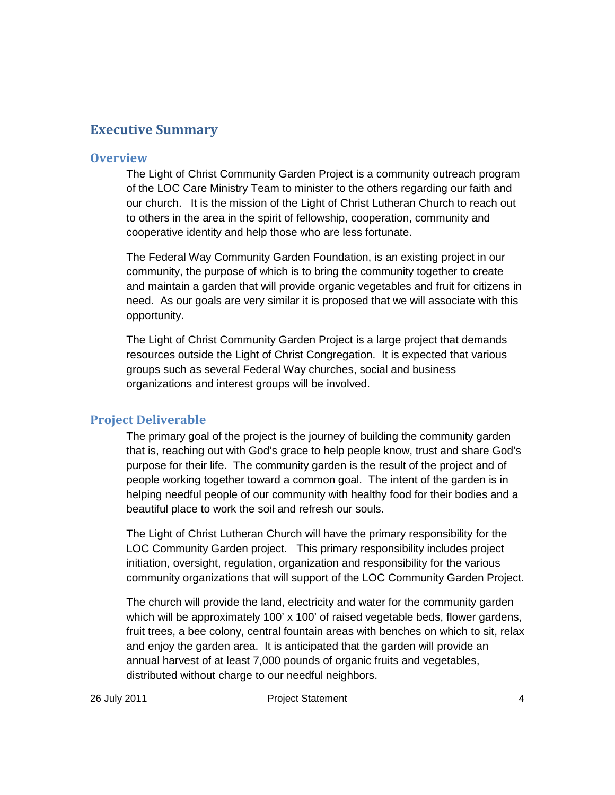## Executive Summary

### **Overview**

The Light of Christ Community Garden Project is a community outreach program of the LOC Care Ministry Team to minister to the others regarding our faith and our church. It is the mission of the Light of Christ Lutheran Church to reach out to others in the area in the spirit of fellowship, cooperation, community and cooperative identity and help those who are less fortunate.

The Federal Way Community Garden Foundation, is an existing project in our community, the purpose of which is to bring the community together to create and maintain a garden that will provide organic vegetables and fruit for citizens in need. As our goals are very similar it is proposed that we will associate with this opportunity.

The Light of Christ Community Garden Project is a large project that demands resources outside the Light of Christ Congregation. It is expected that various groups such as several Federal Way churches, social and business organizations and interest groups will be involved.

## Project Deliverable

The primary goal of the project is the journey of building the community garden that is, reaching out with God's grace to help people know, trust and share God's purpose for their life. The community garden is the result of the project and of people working together toward a common goal. The intent of the garden is in helping needful people of our community with healthy food for their bodies and a beautiful place to work the soil and refresh our souls.

The Light of Christ Lutheran Church will have the primary responsibility for the LOC Community Garden project. This primary responsibility includes project initiation, oversight, regulation, organization and responsibility for the various community organizations that will support of the LOC Community Garden Project.

The church will provide the land, electricity and water for the community garden which will be approximately 100' x 100' of raised vegetable beds, flower gardens, fruit trees, a bee colony, central fountain areas with benches on which to sit, relax and enjoy the garden area. It is anticipated that the garden will provide an annual harvest of at least 7,000 pounds of organic fruits and vegetables, distributed without charge to our needful neighbors.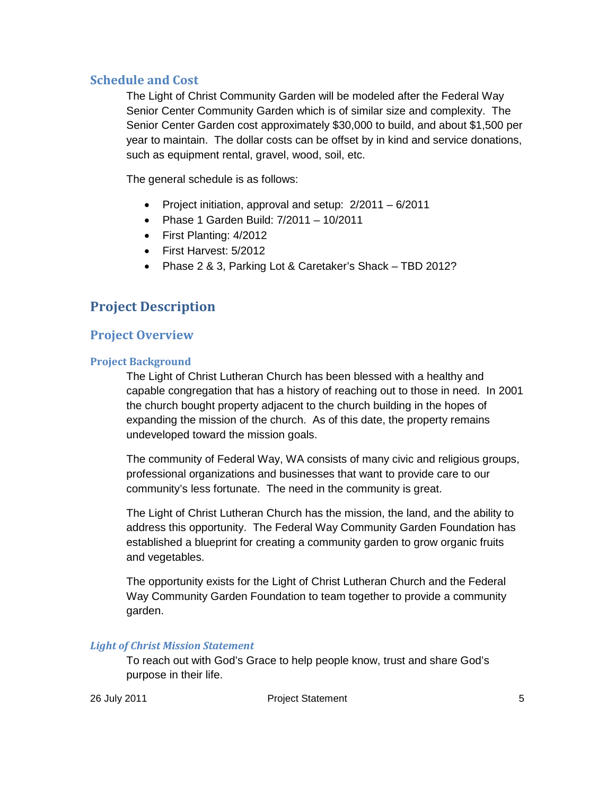## Schedule and Cost

The Light of Christ Community Garden will be modeled after the Federal Way Senior Center Community Garden which is of similar size and complexity. The Senior Center Garden cost approximately \$30,000 to build, and about \$1,500 per year to maintain. The dollar costs can be offset by in kind and service donations, such as equipment rental, gravel, wood, soil, etc.

The general schedule is as follows:

- Project initiation, approval and setup: 2/2011 6/2011
- Phase 1 Garden Build: 7/2011 10/2011
- First Planting: 4/2012
- First Harvest: 5/2012
- Phase 2 & 3, Parking Lot & Caretaker's Shack TBD 2012?

# Project Description

## Project Overview

## Project Background

The Light of Christ Lutheran Church has been blessed with a healthy and capable congregation that has a history of reaching out to those in need. In 2001 the church bought property adjacent to the church building in the hopes of expanding the mission of the church. As of this date, the property remains undeveloped toward the mission goals.

The community of Federal Way, WA consists of many civic and religious groups, professional organizations and businesses that want to provide care to our community's less fortunate. The need in the community is great.

The Light of Christ Lutheran Church has the mission, the land, and the ability to address this opportunity. The Federal Way Community Garden Foundation has established a blueprint for creating a community garden to grow organic fruits and vegetables.

The opportunity exists for the Light of Christ Lutheran Church and the Federal Way Community Garden Foundation to team together to provide a community garden.

## Light of Christ Mission Statement

To reach out with God's Grace to help people know, trust and share God's purpose in their life.

26 July 2011 Project Statement 5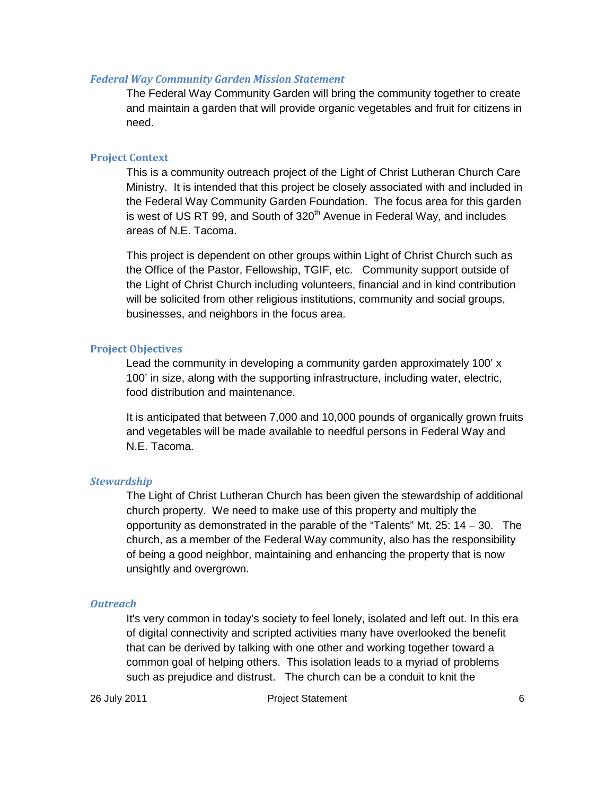#### Federal Way Community Garden Mission Statement

The Federal Way Community Garden will bring the community together to create and maintain a garden that will provide organic vegetables and fruit for citizens in need.

#### Project Context

This is a community outreach project of the Light of Christ Lutheran Church Care Ministry. It is intended that this project be closely associated with and included in the Federal Way Community Garden Foundation. The focus area for this garden is west of US RT 99, and South of 320<sup>th</sup> Avenue in Federal Way, and includes areas of N.E. Tacoma.

This project is dependent on other groups within Light of Christ Church such as the Office of the Pastor, Fellowship, TGIF, etc. Community support outside of the Light of Christ Church including volunteers, financial and in kind contribution will be solicited from other religious institutions, community and social groups, businesses, and neighbors in the focus area.

#### Project Objectives

Lead the community in developing a community garden approximately 100' x 100' in size, along with the supporting infrastructure, including water, electric, food distribution and maintenance.

It is anticipated that between 7,000 and 10,000 pounds of organically grown fruits and vegetables will be made available to needful persons in Federal Way and N.E. Tacoma.

#### **Stewardship**

The Light of Christ Lutheran Church has been given the stewardship of additional church property. We need to make use of this property and multiply the opportunity as demonstrated in the parable of the "Talents" Mt. 25: 14 – 30. The church, as a member of the Federal Way community, also has the responsibility of being a good neighbor, maintaining and enhancing the property that is now unsightly and overgrown.

#### **Outreach**

It's very common in today's society to feel lonely, isolated and left out. In this era of digital connectivity and scripted activities many have overlooked the benefit that can be derived by talking with one other and working together toward a common goal of helping others. This isolation leads to a myriad of problems such as prejudice and distrust. The church can be a conduit to knit the

26 July 2011 Project Statement 6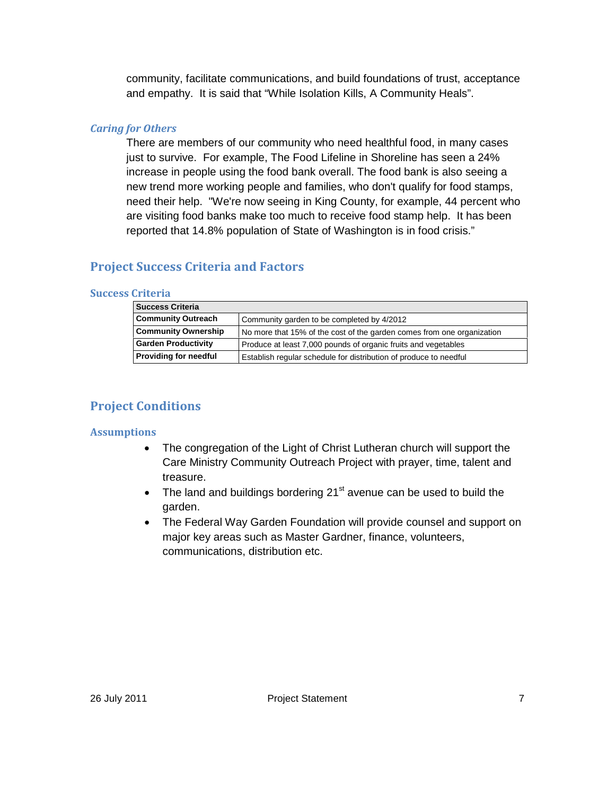community, facilitate communications, and build foundations of trust, acceptance and empathy. It is said that "While Isolation Kills, A Community Heals".

## Caring for Others

There are members of our community who need healthful food, in many cases just to survive. For example, The Food Lifeline in Shoreline has seen a 24% increase in people using the food bank overall. The food bank is also seeing a new trend more working people and families, who don't qualify for food stamps, need their help. "We're now seeing in King County, for example, 44 percent who are visiting food banks make too much to receive food stamp help. It has been reported that 14.8% population of State of Washington is in food crisis."

## Project Success Criteria and Factors

### Success Criteria

| <b>Success Criteria</b>                                                 |                                                                        |  |  |
|-------------------------------------------------------------------------|------------------------------------------------------------------------|--|--|
| <b>Community Outreach</b><br>Community garden to be completed by 4/2012 |                                                                        |  |  |
| <b>Community Ownership</b>                                              | No more that 15% of the cost of the garden comes from one organization |  |  |
| <b>Garden Productivity</b>                                              | Produce at least 7,000 pounds of organic fruits and vegetables         |  |  |
| <b>Providing for needful</b>                                            | Establish regular schedule for distribution of produce to needful      |  |  |

# Project Conditions

## **Assumptions**

- The congregation of the Light of Christ Lutheran church will support the Care Ministry Community Outreach Project with prayer, time, talent and treasure.
- The land and buildings bordering  $21^{st}$  avenue can be used to build the garden.
- The Federal Way Garden Foundation will provide counsel and support on major key areas such as Master Gardner, finance, volunteers, communications, distribution etc.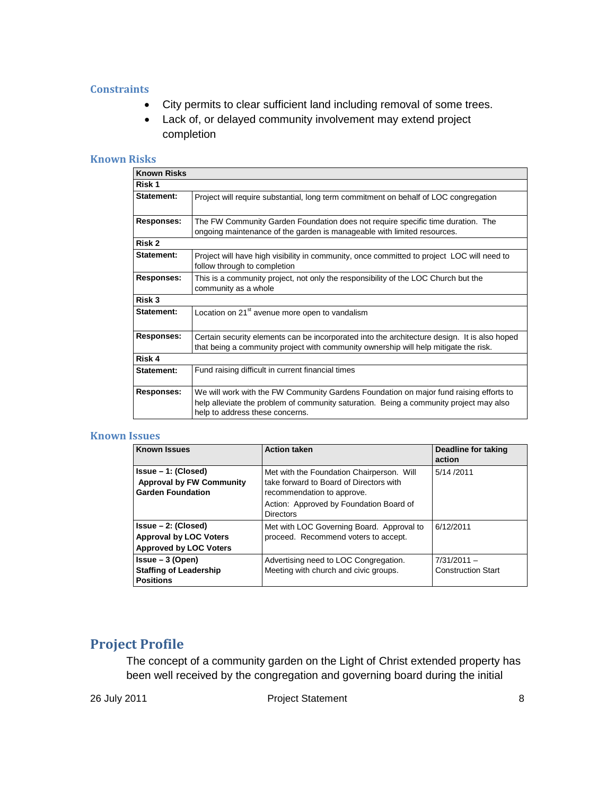### **Constraints**

- City permits to clear sufficient land including removal of some trees.
- Lack of, or delayed community involvement may extend project completion

#### Known Risks

| <b>Known Risks</b> |                                                                                                                                                                                                                     |
|--------------------|---------------------------------------------------------------------------------------------------------------------------------------------------------------------------------------------------------------------|
| Risk 1             |                                                                                                                                                                                                                     |
| Statement:         | Project will require substantial, long term commitment on behalf of LOC congregation                                                                                                                                |
| <b>Responses:</b>  | The FW Community Garden Foundation does not require specific time duration. The<br>ongoing maintenance of the garden is manageable with limited resources.                                                          |
| Risk 2             |                                                                                                                                                                                                                     |
| Statement:         | Project will have high visibility in community, once committed to project LOC will need to<br>follow through to completion                                                                                          |
| <b>Responses:</b>  | This is a community project, not only the responsibility of the LOC Church but the<br>community as a whole                                                                                                          |
| Risk 3             |                                                                                                                                                                                                                     |
| <b>Statement:</b>  | Location on 21 <sup>st</sup> avenue more open to vandalism                                                                                                                                                          |
| <b>Responses:</b>  | Certain security elements can be incorporated into the architecture design. It is also hoped<br>that being a community project with community ownership will help mitigate the risk.                                |
| Risk 4             |                                                                                                                                                                                                                     |
| Statement:         | Fund raising difficult in current financial times                                                                                                                                                                   |
| <b>Responses:</b>  | We will work with the FW Community Gardens Foundation on major fund raising efforts to<br>help alleviate the problem of community saturation. Being a community project may also<br>help to address these concerns. |

#### Known Issues

| <b>Known Issues</b>                                                                      | <b>Action taken</b>                                                                                                | Deadline for taking<br>action              |  |
|------------------------------------------------------------------------------------------|--------------------------------------------------------------------------------------------------------------------|--------------------------------------------|--|
| Issue – 1: (Closed)<br><b>Approval by FW Community</b><br><b>Garden Foundation</b>       | Met with the Foundation Chairperson. Will<br>take forward to Board of Directors with<br>recommendation to approve. | 5/14/2011                                  |  |
|                                                                                          | Action: Approved by Foundation Board of<br><b>Directors</b>                                                        |                                            |  |
| $Is sue - 2: (Closed)$<br><b>Approval by LOC Voters</b><br><b>Approved by LOC Voters</b> | Met with LOC Governing Board. Approval to<br>proceed. Recommend voters to accept.                                  | 6/12/2011                                  |  |
| $Issue - 3 (Open)$<br><b>Staffing of Leadership</b><br><b>Positions</b>                  | Advertising need to LOC Congregation.<br>Meeting with church and civic groups.                                     | $7/31/2011 -$<br><b>Construction Start</b> |  |

# Project Profile

The concept of a community garden on the Light of Christ extended property has been well received by the congregation and governing board during the initial

26 July 2011 **Project Statement** 8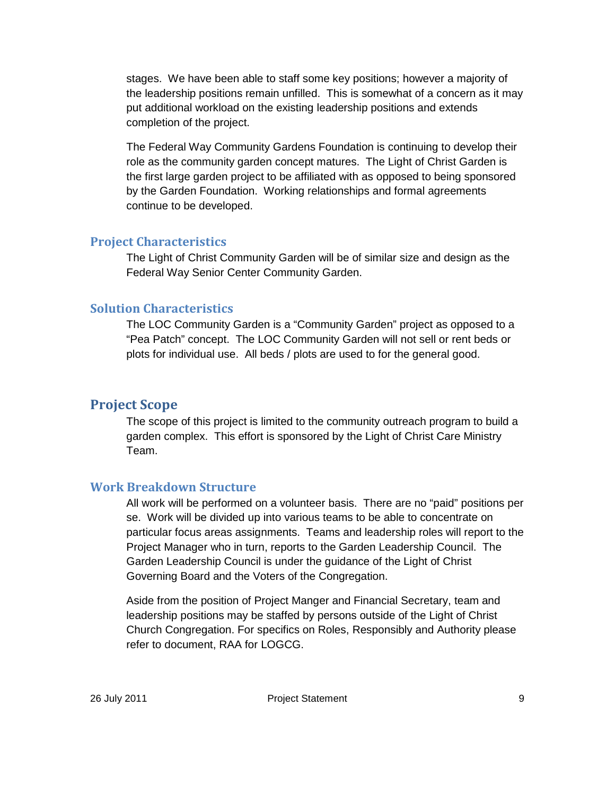stages. We have been able to staff some key positions; however a majority of the leadership positions remain unfilled. This is somewhat of a concern as it may put additional workload on the existing leadership positions and extends completion of the project.

The Federal Way Community Gardens Foundation is continuing to develop their role as the community garden concept matures. The Light of Christ Garden is the first large garden project to be affiliated with as opposed to being sponsored by the Garden Foundation. Working relationships and formal agreements continue to be developed.

## Project Characteristics

The Light of Christ Community Garden will be of similar size and design as the Federal Way Senior Center Community Garden.

## Solution Characteristics

The LOC Community Garden is a "Community Garden" project as opposed to a "Pea Patch" concept. The LOC Community Garden will not sell or rent beds or plots for individual use. All beds / plots are used to for the general good.

## Project Scope

The scope of this project is limited to the community outreach program to build a garden complex. This effort is sponsored by the Light of Christ Care Ministry Team.

## Work Breakdown Structure

All work will be performed on a volunteer basis. There are no "paid" positions per se. Work will be divided up into various teams to be able to concentrate on particular focus areas assignments. Teams and leadership roles will report to the Project Manager who in turn, reports to the Garden Leadership Council. The Garden Leadership Council is under the guidance of the Light of Christ Governing Board and the Voters of the Congregation.

Aside from the position of Project Manger and Financial Secretary, team and leadership positions may be staffed by persons outside of the Light of Christ Church Congregation. For specifics on Roles, Responsibly and Authority please refer to document, RAA for LOGCG.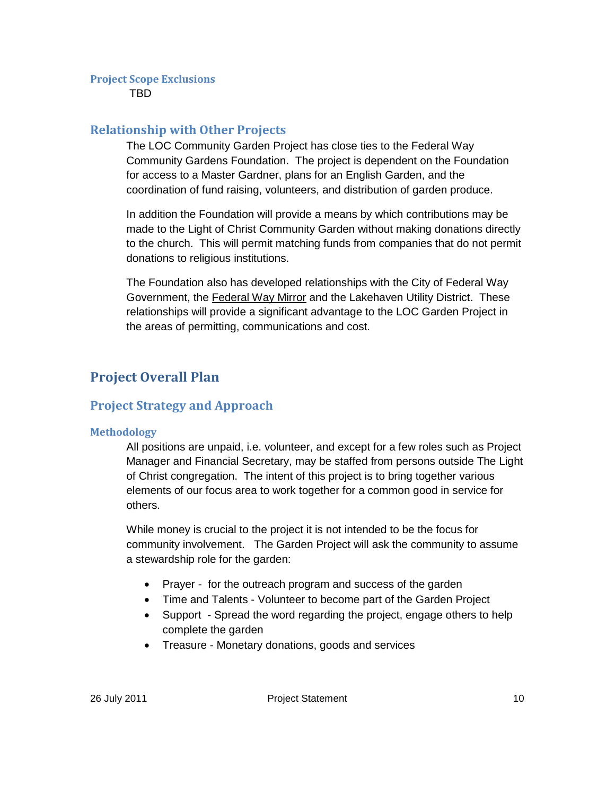### Project Scope Exclusions

TBD

## Relationship with Other Projects

The LOC Community Garden Project has close ties to the Federal Way Community Gardens Foundation. The project is dependent on the Foundation for access to a Master Gardner, plans for an English Garden, and the coordination of fund raising, volunteers, and distribution of garden produce.

In addition the Foundation will provide a means by which contributions may be made to the Light of Christ Community Garden without making donations directly to the church. This will permit matching funds from companies that do not permit donations to religious institutions.

The Foundation also has developed relationships with the City of Federal Way Government, the Federal Way Mirror and the Lakehaven Utility District. These relationships will provide a significant advantage to the LOC Garden Project in the areas of permitting, communications and cost.

# Project Overall Plan

## Project Strategy and Approach

#### Methodology

All positions are unpaid, i.e. volunteer, and except for a few roles such as Project Manager and Financial Secretary, may be staffed from persons outside The Light of Christ congregation. The intent of this project is to bring together various elements of our focus area to work together for a common good in service for others.

While money is crucial to the project it is not intended to be the focus for community involvement. The Garden Project will ask the community to assume a stewardship role for the garden:

- Prayer for the outreach program and success of the garden
- Time and Talents Volunteer to become part of the Garden Project
- Support Spread the word regarding the project, engage others to help complete the garden
- Treasure Monetary donations, goods and services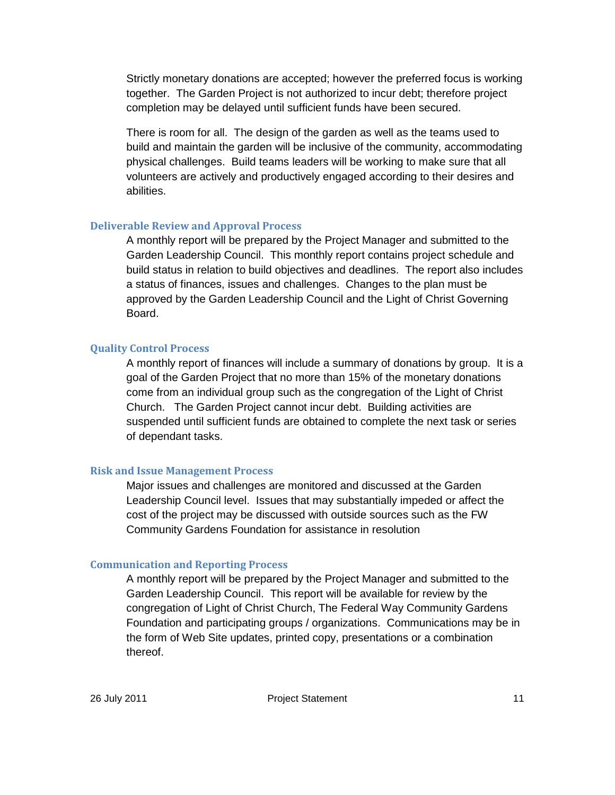Strictly monetary donations are accepted; however the preferred focus is working together. The Garden Project is not authorized to incur debt; therefore project completion may be delayed until sufficient funds have been secured.

There is room for all. The design of the garden as well as the teams used to build and maintain the garden will be inclusive of the community, accommodating physical challenges. Build teams leaders will be working to make sure that all volunteers are actively and productively engaged according to their desires and abilities.

#### Deliverable Review and Approval Process

A monthly report will be prepared by the Project Manager and submitted to the Garden Leadership Council. This monthly report contains project schedule and build status in relation to build objectives and deadlines. The report also includes a status of finances, issues and challenges. Changes to the plan must be approved by the Garden Leadership Council and the Light of Christ Governing Board.

## Quality Control Process

A monthly report of finances will include a summary of donations by group. It is a goal of the Garden Project that no more than 15% of the monetary donations come from an individual group such as the congregation of the Light of Christ Church. The Garden Project cannot incur debt. Building activities are suspended until sufficient funds are obtained to complete the next task or series of dependant tasks.

## Risk and Issue Management Process

Major issues and challenges are monitored and discussed at the Garden Leadership Council level. Issues that may substantially impeded or affect the cost of the project may be discussed with outside sources such as the FW Community Gardens Foundation for assistance in resolution

#### Communication and Reporting Process

A monthly report will be prepared by the Project Manager and submitted to the Garden Leadership Council. This report will be available for review by the congregation of Light of Christ Church, The Federal Way Community Gardens Foundation and participating groups / organizations. Communications may be in the form of Web Site updates, printed copy, presentations or a combination thereof.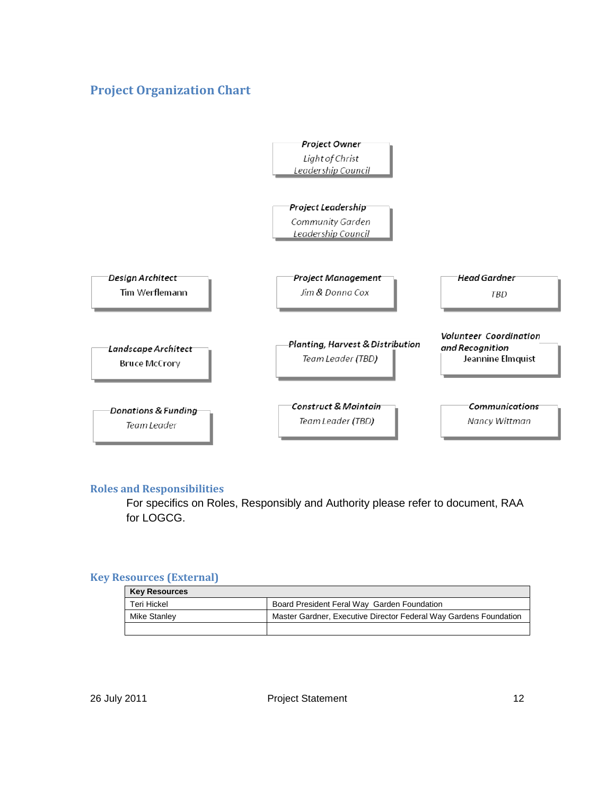# Project Organization Chart



#### Roles and Responsibilities

For specifics on Roles, Responsibly and Authority please refer to document, RAA for LOGCG.

#### Key Resources (External)

| <b>Key Resources</b> |                                                                   |
|----------------------|-------------------------------------------------------------------|
| Teri Hickel          | Board President Feral Way Garden Foundation                       |
| Mike Stanley         | Master Gardner, Executive Director Federal Way Gardens Foundation |
|                      |                                                                   |